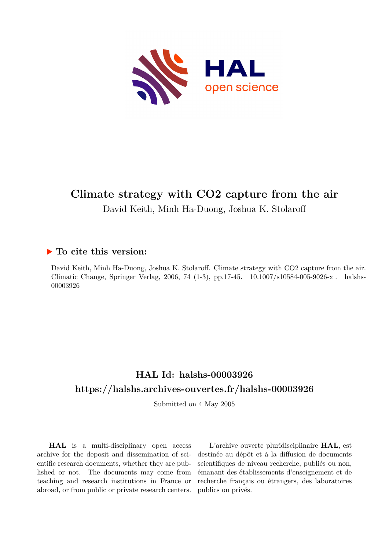

# **Climate strategy with CO2 capture from the air**

David Keith, Minh Ha-Duong, Joshua K. Stolaroff

## **To cite this version:**

David Keith, Minh Ha-Duong, Joshua K. Stolaroff. Climate strategy with CO2 capture from the air. Climatic Change, Springer Verlag, 2006, 74 (1-3), pp.17-45. 10.1007/s10584-005-9026-x. halshs-00003926ff

# **HAL Id: halshs-00003926 <https://halshs.archives-ouvertes.fr/halshs-00003926>**

Submitted on 4 May 2005

**HAL** is a multi-disciplinary open access archive for the deposit and dissemination of scientific research documents, whether they are published or not. The documents may come from teaching and research institutions in France or abroad, or from public or private research centers.

L'archive ouverte pluridisciplinaire **HAL**, est destinée au dépôt et à la diffusion de documents scientifiques de niveau recherche, publiés ou non, émanant des établissements d'enseignement et de recherche français ou étrangers, des laboratoires publics ou privés.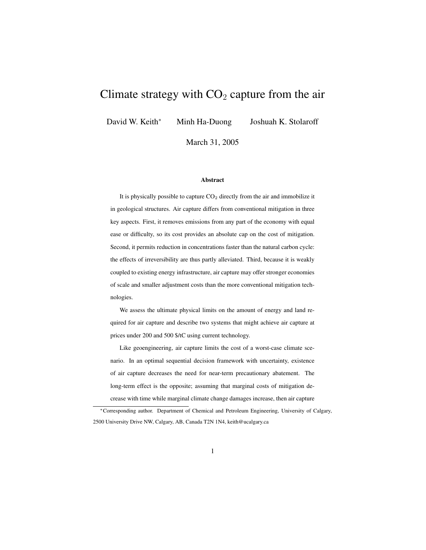## Climate strategy with  $CO<sub>2</sub>$  capture from the air

David W. Keith<sup>∗</sup> Minh Ha-Duong Joshuah K. Stolaroff

March 31, 2005

#### **Abstract**

It is physically possible to capture  $CO<sub>2</sub>$  directly from the air and immobilize it in geological structures. Air capture differs from conventional mitigation in three key aspects. First, it removes emissions from any part of the economy with equal ease or difficulty, so its cost provides an absolute cap on the cost of mitigation. Second, it permits reduction in concentrations faster than the natural carbon cycle: the effects of irreversibility are thus partly alleviated. Third, because it is weakly coupled to existing energy infrastructure, air capture may offer stronger economies of scale and smaller adjustment costs than the more conventional mitigation technologies.

We assess the ultimate physical limits on the amount of energy and land required for air capture and describe two systems that might achieve air capture at prices under 200 and 500 \$/tC using current technology.

Like geoengineering, air capture limits the cost of a worst-case climate scenario. In an optimal sequential decision framework with uncertainty, existence of air capture decreases the need for near-term precautionary abatement. The long-term effect is the opposite; assuming that marginal costs of mitigation decrease with time while marginal climate change damages increase, then air capture

<sup>∗</sup>Corresponding author. Department of Chemical and Petroleum Engineering, University of Calgary, 2500 University Drive NW, Calgary, AB, Canada T2N 1N4, keith@ucalgary.ca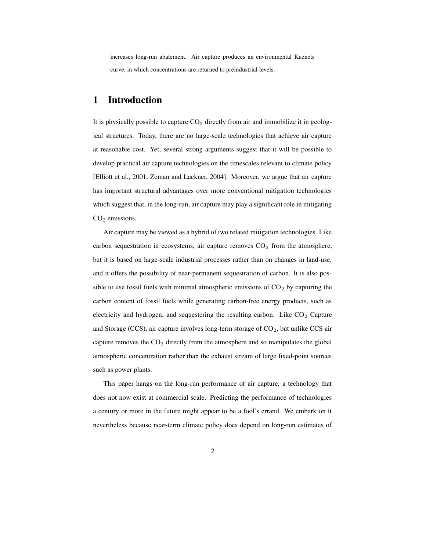increases long-run abatement. Air capture produces an environmental Kuznets curve, in which concentrations are returned to preindustrial levels.

## **1 Introduction**

It is physically possible to capture  $CO<sub>2</sub>$  directly from air and immobilize it in geological structures. Today, there are no large-scale technologies that achieve air capture at reasonable cost. Yet, several strong arguments suggest that it will be possible to develop practical air capture technologies on the timescales relevant to climate policy [Elliott et al., 2001, Zeman and Lackner, 2004]. Moreover, we argue that air capture has important structural advantages over more conventional mitigation technologies which suggest that, in the long-run, air capture may play a significant role in mitigating  $CO<sub>2</sub>$  emissions.

Air capture may be viewed as a hybrid of two related mitigation technologies. Like carbon sequestration in ecosystems, air capture removes  $CO<sub>2</sub>$  from the atmosphere, but it is based on large-scale industrial processes rather than on changes in land-use, and it offers the possibility of near-permanent sequestration of carbon. It is also possible to use fossil fuels with minimal atmospheric emissions of  $CO<sub>2</sub>$  by capturing the carbon content of fossil fuels while generating carbon-free energy products, such as electricity and hydrogen, and sequestering the resulting carbon. Like  $CO<sub>2</sub>$  Capture and Storage (CCS), air capture involves long-term storage of  $CO<sub>2</sub>$ , but unlike CCS air capture removes the  $CO<sub>2</sub>$  directly from the atmosphere and so manipulates the global atmospheric concentration rather than the exhaust stream of large fixed-point sources such as power plants.

This paper hangs on the long-run performance of air capture, a technology that does not now exist at commercial scale. Predicting the performance of technologies a century or more in the future might appear to be a fool's errand. We embark on it nevertheless because near-term climate policy does depend on long-run estimates of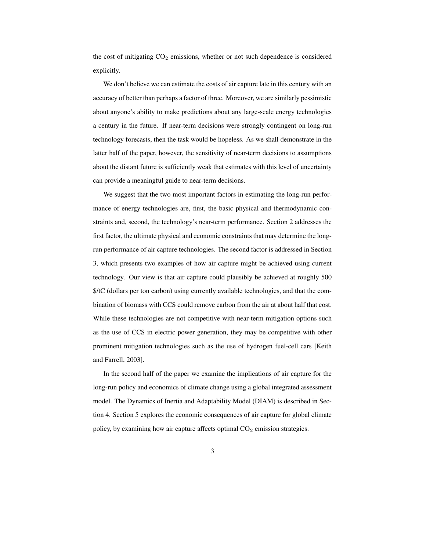the cost of mitigating  $CO<sub>2</sub>$  emissions, whether or not such dependence is considered explicitly.

We don't believe we can estimate the costs of air capture late in this century with an accuracy of better than perhaps a factor of three. Moreover, we are similarly pessimistic about anyone's ability to make predictions about any large-scale energy technologies a century in the future. If near-term decisions were strongly contingent on long-run technology forecasts, then the task would be hopeless. As we shall demonstrate in the latter half of the paper, however, the sensitivity of near-term decisions to assumptions about the distant future is sufficiently weak that estimates with this level of uncertainty can provide a meaningful guide to near-term decisions.

We suggest that the two most important factors in estimating the long-run performance of energy technologies are, first, the basic physical and thermodynamic constraints and, second, the technology's near-term performance. Section 2 addresses the first factor, the ultimate physical and economic constraints that may determine the longrun performance of air capture technologies. The second factor is addressed in Section 3, which presents two examples of how air capture might be achieved using current technology. Our view is that air capture could plausibly be achieved at roughly 500 \$/tC (dollars per ton carbon) using currently available technologies, and that the combination of biomass with CCS could remove carbon from the air at about half that cost. While these technologies are not competitive with near-term mitigation options such as the use of CCS in electric power generation, they may be competitive with other prominent mitigation technologies such as the use of hydrogen fuel-cell cars [Keith and Farrell, 2003].

In the second half of the paper we examine the implications of air capture for the long-run policy and economics of climate change using a global integrated assessment model. The Dynamics of Inertia and Adaptability Model (DIAM) is described in Section 4. Section 5 explores the economic consequences of air capture for global climate policy, by examining how air capture affects optimal  $CO<sub>2</sub>$  emission strategies.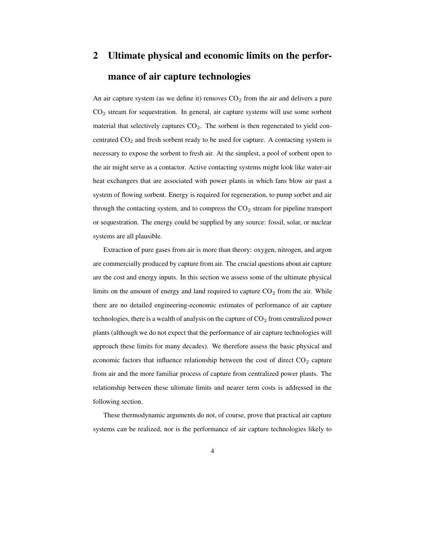# **2 Ultimate physical and economic limits on the performance of air capture technologies**

An air capture system (as we define it) removes  $CO<sub>2</sub>$  from the air and delivers a pure  $CO<sub>2</sub>$  stream for sequestration. In general, air capture systems will use some sorbent material that selectively captures  $CO<sub>2</sub>$ . The sorbent is then regenerated to yield concentrated  $CO<sub>2</sub>$  and fresh sorbent ready to be used for capture. A contacting system is necessary to expose the sorbent to fresh air. At the simplest, a pool of sorbent open to the air might serve as a contactor. Active contacting systems might look like water-air heat exchangers that are associated with power plants in which fans blow air past a system of flowing sorbent. Energy is required for regeneration, to pump sorbet and air through the contacting system, and to compress the  $CO<sub>2</sub>$  stream for pipeline transport or sequestration. The energy could be supplied by any source: fossil, solar, or nuclear systems are all plausible.

Extraction of pure gases from air is more than theory: oxygen, nitrogen, and argon are commercially produced by capture from air. The crucial questions about air capture are the cost and energy inputs. In this section we assess some of the ultimate physical limits on the amount of energy and land required to capture  $CO<sub>2</sub>$  from the air. While there are no detailed engineering-economic estimates of performance of air capture technologies, there is a wealth of analysis on the capture of  $CO<sub>2</sub>$  from centralized power plants (although we do not expect that the performance of air capture technologies will approach these limits for many decades). We therefore assess the basic physical and economic factors that influence relationship between the cost of direct  $CO<sub>2</sub>$  capture from air and the more familiar process of capture from centralized power plants. The relationship between these ultimate limits and nearer term costs is addressed in the following section.

These thermodynamic arguments do not, of course, prove that practical air capture systems can be realized, nor is the performance of air capture technologies likely to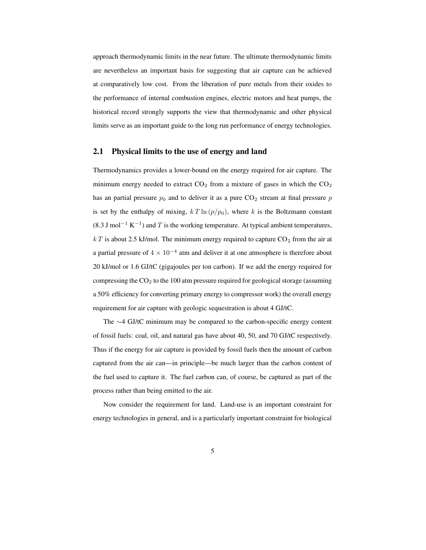approach thermodynamic limits in the near future. The ultimate thermodynamic limits are nevertheless an important basis for suggesting that air capture can be achieved at comparatively low cost. From the liberation of pure metals from their oxides to the performance of internal combustion engines, electric motors and heat pumps, the historical record strongly supports the view that thermodynamic and other physical limits serve as an important guide to the long run performance of energy technologies.

### **2.1 Physical limits to the use of energy and land**

Thermodynamics provides a lower-bound on the energy required for air capture. The minimum energy needed to extract  $CO<sub>2</sub>$  from a mixture of gases in which the  $CO<sub>2</sub>$ has an partial pressure  $p_0$  and to deliver it as a pure  $CO_2$  stream at final pressure p is set by the enthalpy of mixing,  $kT \ln (p/p_0)$ , where k is the Boltzmann constant  $(8.3 \text{ J mol}^{-1} \text{ K}^{-1})$  and T is the working temperature. At typical ambient temperatures,  $kT$  is about 2.5 kJ/mol. The minimum energy required to capture  $CO<sub>2</sub>$  from the air at a partial pressure of  $4 \times 10^{-4}$  atm and deliver it at one atmosphere is therefore about 20 kJ/mol or 1.6 GJ/tC (gigajoules per ton carbon). If we add the energy required for compressing the  $CO<sub>2</sub>$  to the 100 atm pressure required for geological storage (assuming a 50% efficiency for converting primary energy to compressor work) the overall energy requirement for air capture with geologic sequestration is about 4 GJ/tC.

The ∼4 GJ/tC minimum may be compared to the carbon-specific energy content of fossil fuels: coal, oil, and natural gas have about 40, 50, and 70 GJ/tC respectively. Thus if the energy for air capture is provided by fossil fuels then the amount of carbon captured from the air can—in principle—be much larger than the carbon content of the fuel used to capture it. The fuel carbon can, of course, be captured as part of the process rather than being emitted to the air.

Now consider the requirement for land. Land-use is an important constraint for energy technologies in general, and is a particularly important constraint for biological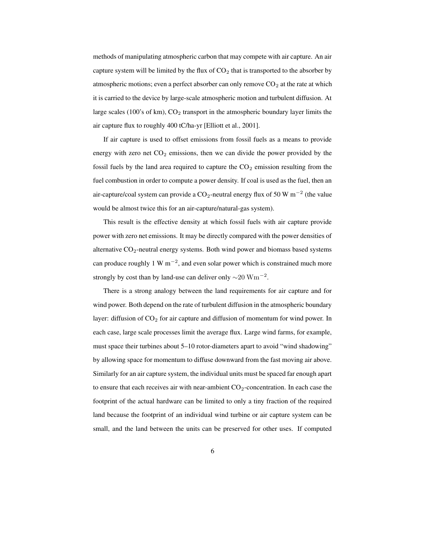methods of manipulating atmospheric carbon that may compete with air capture. An air capture system will be limited by the flux of  $CO<sub>2</sub>$  that is transported to the absorber by atmospheric motions; even a perfect absorber can only remove  $CO<sub>2</sub>$  at the rate at which it is carried to the device by large-scale atmospheric motion and turbulent diffusion. At large scales (100's of km),  $CO<sub>2</sub>$  transport in the atmospheric boundary layer limits the air capture flux to roughly 400 tC/ha-yr [Elliott et al., 2001].

If air capture is used to offset emissions from fossil fuels as a means to provide energy with zero net  $CO<sub>2</sub>$  emissions, then we can divide the power provided by the fossil fuels by the land area required to capture the  $CO<sub>2</sub>$  emission resulting from the fuel combustion in order to compute a power density. If coal is used as the fuel, then an air-capture/coal system can provide a CO<sub>2</sub>-neutral energy flux of 50 W m<sup>-2</sup> (the value would be almost twice this for an air-capture/natural-gas system).

This result is the effective density at which fossil fuels with air capture provide power with zero net emissions. It may be directly compared with the power densities of alternative  $CO_2$ -neutral energy systems. Both wind power and biomass based systems can produce roughly 1 W m<sup>-2</sup>, and even solar power which is constrained much more strongly by cost than by land-use can deliver only  $\sim$ 20 Wm<sup>-2</sup>.

There is a strong analogy between the land requirements for air capture and for wind power. Both depend on the rate of turbulent diffusion in the atmospheric boundary layer: diffusion of  $CO<sub>2</sub>$  for air capture and diffusion of momentum for wind power. In each case, large scale processes limit the average flux. Large wind farms, for example, must space their turbines about 5–10 rotor-diameters apart to avoid "wind shadowing" by allowing space for momentum to diffuse downward from the fast moving air above. Similarly for an air capture system, the individual units must be spaced far enough apart to ensure that each receives air with near-ambient  $CO<sub>2</sub>$ -concentration. In each case the footprint of the actual hardware can be limited to only a tiny fraction of the required land because the footprint of an individual wind turbine or air capture system can be small, and the land between the units can be preserved for other uses. If computed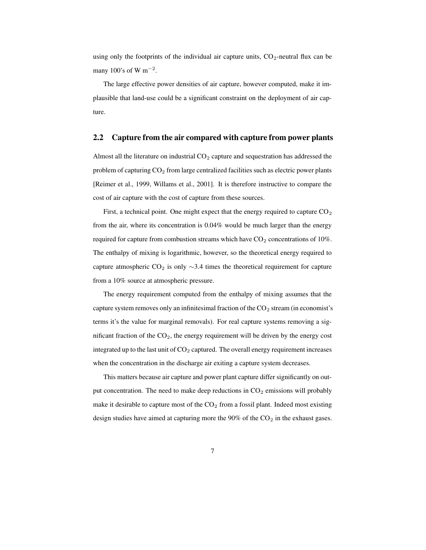using only the footprints of the individual air capture units,  $CO_2$ -neutral flux can be many 100's of W m<sup>-2</sup>.

The large effective power densities of air capture, however computed, make it implausible that land-use could be a significant constraint on the deployment of air capture.

### **2.2 Capture from the air compared with capture from power plants**

Almost all the literature on industrial  $CO<sub>2</sub>$  capture and sequestration has addressed the problem of capturing  $CO<sub>2</sub>$  from large centralized facilities such as electric power plants [Reimer et al., 1999, Willams et al., 2001]. It is therefore instructive to compare the cost of air capture with the cost of capture from these sources.

First, a technical point. One might expect that the energy required to capture  $CO<sub>2</sub>$ from the air, where its concentration is 0.04% would be much larger than the energy required for capture from combustion streams which have  $CO<sub>2</sub>$  concentrations of 10%. The enthalpy of mixing is logarithmic, however, so the theoretical energy required to capture atmospheric CO<sub>2</sub> is only  $\sim$ 3.4 times the theoretical requirement for capture from a 10% source at atmospheric pressure.

The energy requirement computed from the enthalpy of mixing assumes that the capture system removes only an infinitesimal fraction of the  $CO<sub>2</sub>$  stream (in economist's terms it's the value for marginal removals). For real capture systems removing a significant fraction of the  $CO<sub>2</sub>$ , the energy requirement will be driven by the energy cost integrated up to the last unit of  $CO<sub>2</sub>$  captured. The overall energy requirement increases when the concentration in the discharge air exiting a capture system decreases.

This matters because air capture and power plant capture differ significantly on output concentration. The need to make deep reductions in  $CO<sub>2</sub>$  emissions will probably make it desirable to capture most of the  $CO<sub>2</sub>$  from a fossil plant. Indeed most existing design studies have aimed at capturing more the  $90\%$  of the  $CO<sub>2</sub>$  in the exhaust gases.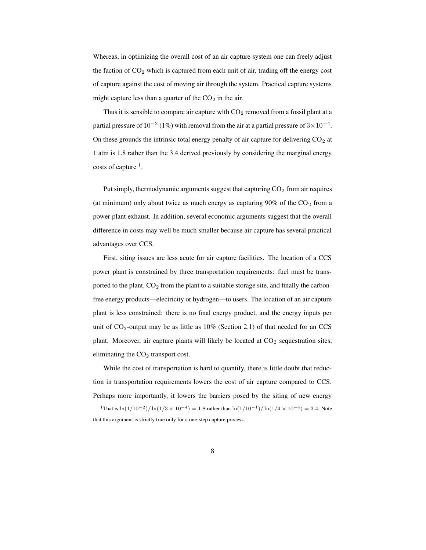Whereas, in optimizing the overall cost of an air capture system one can freely adjust the faction of  $CO<sub>2</sub>$  which is captured from each unit of air, trading off the energy cost of capture against the cost of moving air through the system. Practical capture systems might capture less than a quarter of the  $CO<sub>2</sub>$  in the air.

Thus it is sensible to compare air capture with  $CO<sub>2</sub>$  removed from a fossil plant at a partial pressure of  $10^{-2}$  (1%) with removal from the air at a partial pressure of  $3\times10^{-4}$ . On these grounds the intrinsic total energy penalty of air capture for delivering  $CO<sub>2</sub>$  at 1 atm is 1.8 rather than the 3.4 derived previously by considering the marginal energy costs of capture  $<sup>1</sup>$ .</sup>

Put simply, thermodynamic arguments suggest that capturing  $CO<sub>2</sub>$  from air requires (at minimum) only about twice as much energy as capturing  $90\%$  of the  $CO<sub>2</sub>$  from a power plant exhaust. In addition, several economic arguments suggest that the overall difference in costs may well be much smaller because air capture has several practical advantages over CCS.

First, siting issues are less acute for air capture facilities. The location of a CCS power plant is constrained by three transportation requirements: fuel must be transported to the plant,  $CO_2$  from the plant to a suitable storage site, and finally the carbonfree energy products—electricity or hydrogen—to users. The location of an air capture plant is less constrained: there is no final energy product, and the energy inputs per unit of  $CO_2$ -output may be as little as  $10\%$  (Section 2.1) of that needed for an CCS plant. Moreover, air capture plants will likely be located at  $CO<sub>2</sub>$  sequestration sites, eliminating the CO<sub>2</sub> transport cost.

While the cost of transportation is hard to quantify, there is little doubt that reduction in transportation requirements lowers the cost of air capture compared to CCS. Perhaps more importantly, it lowers the barriers posed by the siting of new energy

<sup>&</sup>lt;sup>1</sup>That is  $\ln(1/10^{-2})/\ln(1/3 \times 10^{-4}) = 1.8$  rather than  $\ln(1/10^{-1})/\ln(1/4 \times 10^{-4}) = 3.4$ . Note that this argument is strictly true only for a one-step capture process.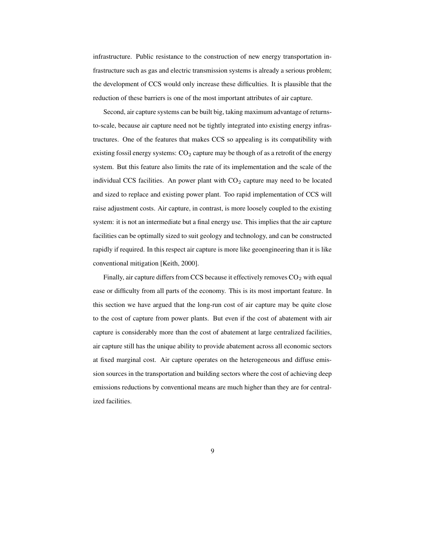infrastructure. Public resistance to the construction of new energy transportation infrastructure such as gas and electric transmission systems is already a serious problem; the development of CCS would only increase these difficulties. It is plausible that the reduction of these barriers is one of the most important attributes of air capture.

Second, air capture systems can be built big, taking maximum advantage of returnsto-scale, because air capture need not be tightly integrated into existing energy infrastructures. One of the features that makes CCS so appealing is its compatibility with existing fossil energy systems:  $CO<sub>2</sub>$  capture may be though of as a retrofit of the energy system. But this feature also limits the rate of its implementation and the scale of the individual CCS facilities. An power plant with  $CO<sub>2</sub>$  capture may need to be located and sized to replace and existing power plant. Too rapid implementation of CCS will raise adjustment costs. Air capture, in contrast, is more loosely coupled to the existing system: it is not an intermediate but a final energy use. This implies that the air capture facilities can be optimally sized to suit geology and technology, and can be constructed rapidly if required. In this respect air capture is more like geoengineering than it is like conventional mitigation [Keith, 2000].

Finally, air capture differs from CCS because it effectively removes  $CO<sub>2</sub>$  with equal ease or difficulty from all parts of the economy. This is its most important feature. In this section we have argued that the long-run cost of air capture may be quite close to the cost of capture from power plants. But even if the cost of abatement with air capture is considerably more than the cost of abatement at large centralized facilities, air capture still has the unique ability to provide abatement across all economic sectors at fixed marginal cost. Air capture operates on the heterogeneous and diffuse emission sources in the transportation and building sectors where the cost of achieving deep emissions reductions by conventional means are much higher than they are for centralized facilities.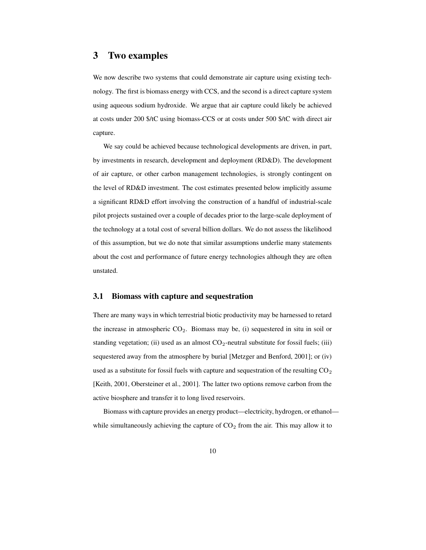### **3 Two examples**

We now describe two systems that could demonstrate air capture using existing technology. The first is biomass energy with CCS, and the second is a direct capture system using aqueous sodium hydroxide. We argue that air capture could likely be achieved at costs under 200 \$/tC using biomass-CCS or at costs under 500 \$/tC with direct air capture.

We say could be achieved because technological developments are driven, in part, by investments in research, development and deployment (RD&D). The development of air capture, or other carbon management technologies, is strongly contingent on the level of RD&D investment. The cost estimates presented below implicitly assume a significant RD&D effort involving the construction of a handful of industrial-scale pilot projects sustained over a couple of decades prior to the large-scale deployment of the technology at a total cost of several billion dollars. We do not assess the likelihood of this assumption, but we do note that similar assumptions underlie many statements about the cost and performance of future energy technologies although they are often unstated.

#### **3.1 Biomass with capture and sequestration**

There are many ways in which terrestrial biotic productivity may be harnessed to retard the increase in atmospheric  $CO<sub>2</sub>$ . Biomass may be, (i) sequestered in situ in soil or standing vegetation; (ii) used as an almost  $CO_2$ -neutral substitute for fossil fuels; (iii) sequestered away from the atmosphere by burial [Metzger and Benford, 2001]; or (iv) used as a substitute for fossil fuels with capture and sequestration of the resulting  $CO<sub>2</sub>$ [Keith, 2001, Obersteiner et al., 2001]. The latter two options remove carbon from the active biosphere and transfer it to long lived reservoirs.

Biomass with capture provides an energy product—electricity, hydrogen, or ethanol while simultaneously achieving the capture of  $CO<sub>2</sub>$  from the air. This may allow it to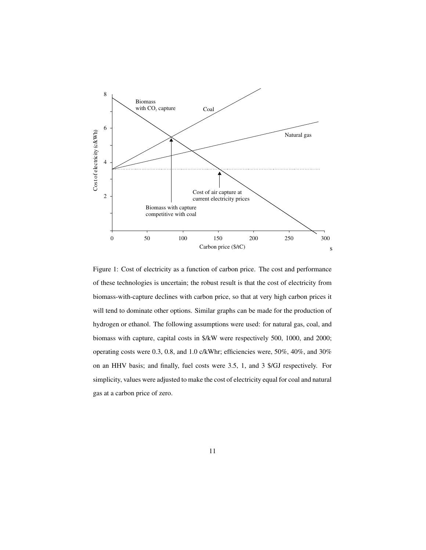

Figure 1: Cost of electricity as a function of carbon price. The cost and performance of these technologies is uncertain; the robust result is that the cost of electricity from biomass-with-capture declines with carbon price, so that at very high carbon prices it will tend to dominate other options. Similar graphs can be made for the production of hydrogen or ethanol. The following assumptions were used: for natural gas, coal, and biomass with capture, capital costs in \$/kW were respectively 500, 1000, and 2000; operating costs were 0.3, 0.8, and 1.0 c/kWhr; efficiencies were, 50%, 40%, and 30% on an HHV basis; and finally, fuel costs were 3.5, 1, and 3 \$/GJ respectively. For simplicity, values were adjusted to make the cost of electricity equal for coal and natural gas at a carbon price of zero.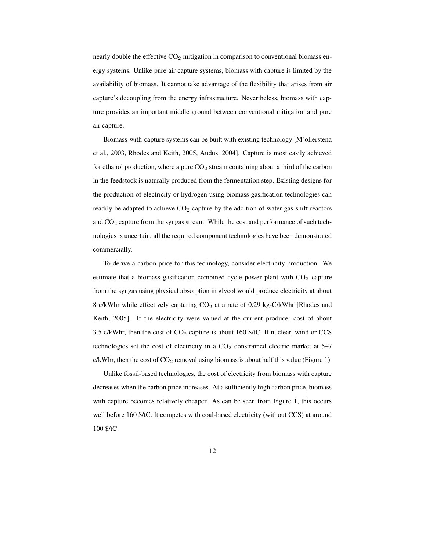nearly double the effective  $CO<sub>2</sub>$  mitigation in comparison to conventional biomass energy systems. Unlike pure air capture systems, biomass with capture is limited by the availability of biomass. It cannot take advantage of the flexibility that arises from air capture's decoupling from the energy infrastructure. Nevertheless, biomass with capture provides an important middle ground between conventional mitigation and pure air capture.

Biomass-with-capture systems can be built with existing technology [M'ollerstena et al., 2003, Rhodes and Keith, 2005, Audus, 2004]. Capture is most easily achieved for ethanol production, where a pure  $CO<sub>2</sub>$  stream containing about a third of the carbon in the feedstock is naturally produced from the fermentation step. Existing designs for the production of electricity or hydrogen using biomass gasification technologies can readily be adapted to achieve  $CO<sub>2</sub>$  capture by the addition of water-gas-shift reactors and  $CO<sub>2</sub>$  capture from the syngas stream. While the cost and performance of such technologies is uncertain, all the required component technologies have been demonstrated commercially.

To derive a carbon price for this technology, consider electricity production. We estimate that a biomass gasification combined cycle power plant with  $CO<sub>2</sub>$  capture from the syngas using physical absorption in glycol would produce electricity at about 8 c/kWhr while effectively capturing  $CO<sub>2</sub>$  at a rate of 0.29 kg-C/kWhr [Rhodes and Keith, 2005]. If the electricity were valued at the current producer cost of about 3.5 c/kWhr, then the cost of  $CO_2$  capture is about 160 \$/tC. If nuclear, wind or CCS technologies set the cost of electricity in a  $CO<sub>2</sub>$  constrained electric market at 5–7  $c/kWhr$ , then the cost of  $CO<sub>2</sub>$  removal using biomass is about half this value (Figure 1).

Unlike fossil-based technologies, the cost of electricity from biomass with capture decreases when the carbon price increases. At a sufficiently high carbon price, biomass with capture becomes relatively cheaper. As can be seen from Figure 1, this occurs well before 160 \$/tC. It competes with coal-based electricity (without CCS) at around 100 \$/tC.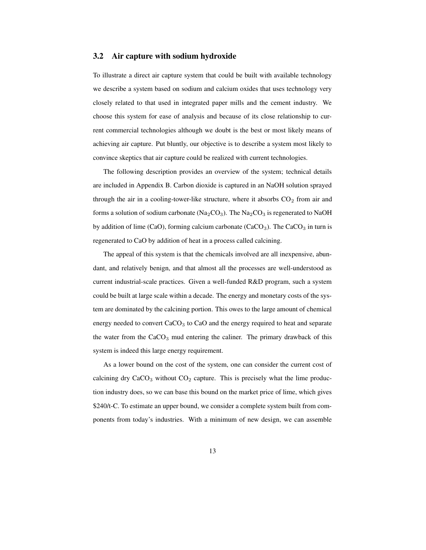### **3.2 Air capture with sodium hydroxide**

To illustrate a direct air capture system that could be built with available technology we describe a system based on sodium and calcium oxides that uses technology very closely related to that used in integrated paper mills and the cement industry. We choose this system for ease of analysis and because of its close relationship to current commercial technologies although we doubt is the best or most likely means of achieving air capture. Put bluntly, our objective is to describe a system most likely to convince skeptics that air capture could be realized with current technologies.

The following description provides an overview of the system; technical details are included in Appendix B. Carbon dioxide is captured in an NaOH solution sprayed through the air in a cooling-tower-like structure, where it absorbs  $CO<sub>2</sub>$  from air and forms a solution of sodium carbonate (Na<sub>2</sub>CO<sub>3</sub>). The Na<sub>2</sub>CO<sub>3</sub> is regenerated to NaOH by addition of lime (CaO), forming calcium carbonate (CaCO<sub>3</sub>). The CaCO<sub>3</sub> in turn is regenerated to CaO by addition of heat in a process called calcining.

The appeal of this system is that the chemicals involved are all inexpensive, abundant, and relatively benign, and that almost all the processes are well-understood as current industrial-scale practices. Given a well-funded R&D program, such a system could be built at large scale within a decade. The energy and monetary costs of the system are dominated by the calcining portion. This owes to the large amount of chemical energy needed to convert CaCO<sub>3</sub> to CaO and the energy required to heat and separate the water from the  $CaCO<sub>3</sub>$  mud entering the caliner. The primary drawback of this system is indeed this large energy requirement.

As a lower bound on the cost of the system, one can consider the current cost of calcining dry  $CaCO<sub>3</sub>$  without  $CO<sub>2</sub>$  capture. This is precisely what the lime production industry does, so we can base this bound on the market price of lime, which gives \$240/t-C. To estimate an upper bound, we consider a complete system built from components from today's industries. With a minimum of new design, we can assemble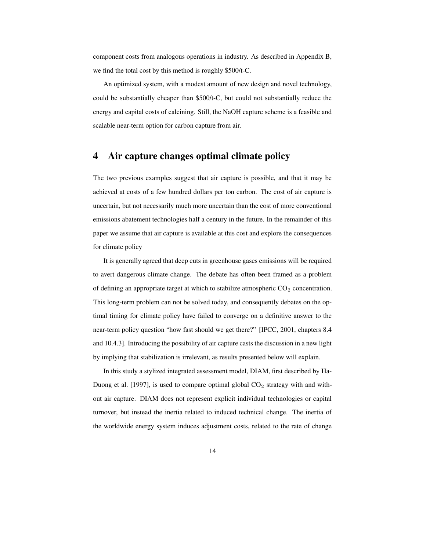component costs from analogous operations in industry. As described in Appendix B, we find the total cost by this method is roughly \$500/t-C.

An optimized system, with a modest amount of new design and novel technology, could be substantially cheaper than \$500/t-C, but could not substantially reduce the energy and capital costs of calcining. Still, the NaOH capture scheme is a feasible and scalable near-term option for carbon capture from air.

## **4 Air capture changes optimal climate policy**

The two previous examples suggest that air capture is possible, and that it may be achieved at costs of a few hundred dollars per ton carbon. The cost of air capture is uncertain, but not necessarily much more uncertain than the cost of more conventional emissions abatement technologies half a century in the future. In the remainder of this paper we assume that air capture is available at this cost and explore the consequences for climate policy

It is generally agreed that deep cuts in greenhouse gases emissions will be required to avert dangerous climate change. The debate has often been framed as a problem of defining an appropriate target at which to stabilize atmospheric  $CO<sub>2</sub>$  concentration. This long-term problem can not be solved today, and consequently debates on the optimal timing for climate policy have failed to converge on a definitive answer to the near-term policy question "how fast should we get there?" [IPCC, 2001, chapters 8.4 and 10.4.3]. Introducing the possibility of air capture casts the discussion in a new light by implying that stabilization is irrelevant, as results presented below will explain.

In this study a stylized integrated assessment model, DIAM, first described by Ha-Duong et al. [1997], is used to compare optimal global  $CO<sub>2</sub>$  strategy with and without air capture. DIAM does not represent explicit individual technologies or capital turnover, but instead the inertia related to induced technical change. The inertia of the worldwide energy system induces adjustment costs, related to the rate of change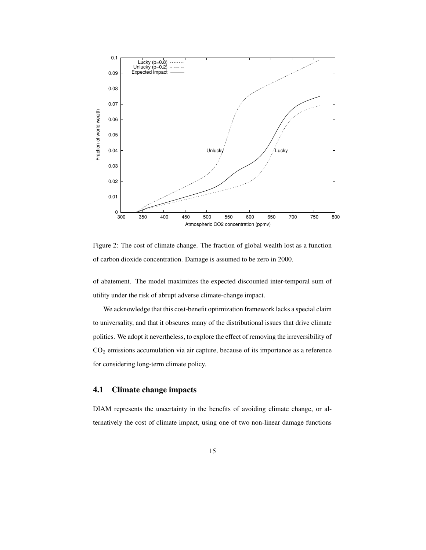

Figure 2: The cost of climate change. The fraction of global wealth lost as a function of carbon dioxide concentration. Damage is assumed to be zero in 2000.

of abatement. The model maximizes the expected discounted inter-temporal sum of utility under the risk of abrupt adverse climate-change impact.

We acknowledge that this cost-benefit optimization framework lacks a special claim to universality, and that it obscures many of the distributional issues that drive climate politics. We adopt it nevertheless, to explore the effect of removing the irreversibility of CO<sup>2</sup> emissions accumulation via air capture, because of its importance as a reference for considering long-term climate policy.

### **4.1 Climate change impacts**

DIAM represents the uncertainty in the benefits of avoiding climate change, or alternatively the cost of climate impact, using one of two non-linear damage functions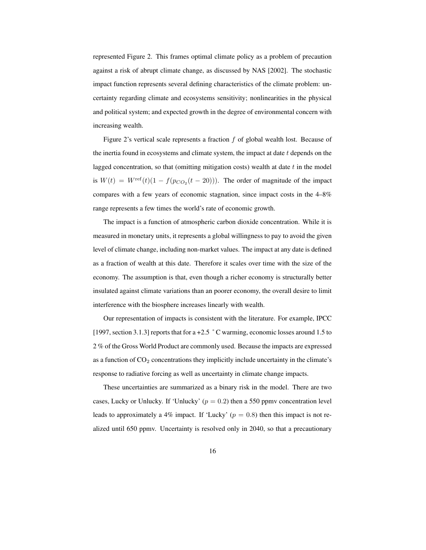represented Figure 2. This frames optimal climate policy as a problem of precaution against a risk of abrupt climate change, as discussed by NAS [2002]. The stochastic impact function represents several defining characteristics of the climate problem: uncertainty regarding climate and ecosystems sensitivity; nonlinearities in the physical and political system; and expected growth in the degree of environmental concern with increasing wealth.

Figure 2's vertical scale represents a fraction  $f$  of global wealth lost. Because of the inertia found in ecosystems and climate system, the impact at date  $t$  depends on the lagged concentration, so that (omitting mitigation costs) wealth at date  $t$  in the model is  $W(t) = W^{\text{ref}}(t)(1 - f(p_{CO_2}(t - 20)))$ . The order of magnitude of the impact compares with a few years of economic stagnation, since impact costs in the 4–8% range represents a few times the world's rate of economic growth.

The impact is a function of atmospheric carbon dioxide concentration. While it is measured in monetary units, it represents a global willingness to pay to avoid the given level of climate change, including non-market values. The impact at any date is defined as a fraction of wealth at this date. Therefore it scales over time with the size of the economy. The assumption is that, even though a richer economy is structurally better insulated against climate variations than an poorer economy, the overall desire to limit interference with the biosphere increases linearly with wealth.

Our representation of impacts is consistent with the literature. For example, IPCC [1997, section 3.1.3] reports that for a +2.5 ˚ C warming, economic losses around 1.5 to 2 % of the Gross World Product are commonly used. Because the impacts are expressed as a function of  $CO<sub>2</sub>$  concentrations they implicitly include uncertainty in the climate's response to radiative forcing as well as uncertainty in climate change impacts.

These uncertainties are summarized as a binary risk in the model. There are two cases, Lucky or Unlucky. If 'Unlucky' ( $p = 0.2$ ) then a 550 ppmv concentration level leads to approximately a 4% impact. If 'Lucky' ( $p = 0.8$ ) then this impact is not realized until 650 ppmv. Uncertainty is resolved only in 2040, so that a precautionary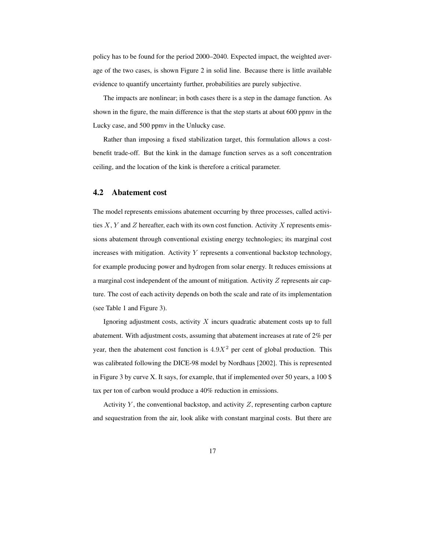policy has to be found for the period 2000–2040. Expected impact, the weighted average of the two cases, is shown Figure 2 in solid line. Because there is little available evidence to quantify uncertainty further, probabilities are purely subjective.

The impacts are nonlinear; in both cases there is a step in the damage function. As shown in the figure, the main difference is that the step starts at about 600 ppmv in the Lucky case, and 500 ppmv in the Unlucky case.

Rather than imposing a fixed stabilization target, this formulation allows a costbenefit trade-off. But the kink in the damage function serves as a soft concentration ceiling, and the location of the kink is therefore a critical parameter.

### **4.2 Abatement cost**

The model represents emissions abatement occurring by three processes, called activities  $X, Y$  and  $Z$  hereafter, each with its own cost function. Activity  $X$  represents emissions abatement through conventional existing energy technologies; its marginal cost increases with mitigation. Activity  $Y$  represents a conventional backstop technology, for example producing power and hydrogen from solar energy. It reduces emissions at a marginal cost independent of the amount of mitigation. Activity  $Z$  represents air capture. The cost of each activity depends on both the scale and rate of its implementation (see Table 1 and Figure 3).

Ignoring adjustment costs, activity  $X$  incurs quadratic abatement costs up to full abatement. With adjustment costs, assuming that abatement increases at rate of 2% per year, then the abatement cost function is  $4.9X<sup>2</sup>$  per cent of global production. This was calibrated following the DICE-98 model by Nordhaus [2002]. This is represented in Figure 3 by curve X. It says, for example, that if implemented over 50 years, a 100 \$ tax per ton of carbon would produce a 40% reduction in emissions.

Activity  $Y$ , the conventional backstop, and activity  $Z$ , representing carbon capture and sequestration from the air, look alike with constant marginal costs. But there are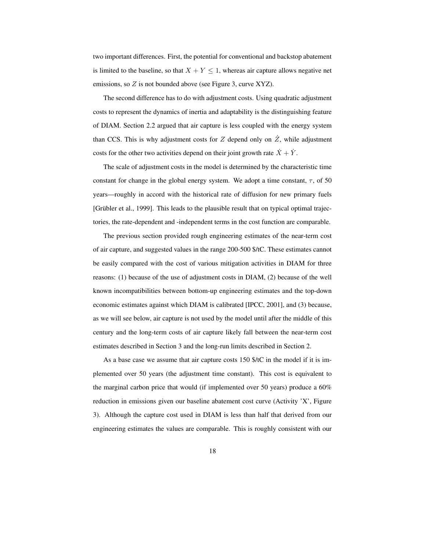two important differences. First, the potential for conventional and backstop abatement is limited to the baseline, so that  $X + Y \leq 1$ , whereas air capture allows negative net emissions, so Z is not bounded above (see Figure 3, curve XYZ).

The second difference has to do with adjustment costs. Using quadratic adjustment costs to represent the dynamics of inertia and adaptability is the distinguishing feature of DIAM. Section 2.2 argued that air capture is less coupled with the energy system than CCS. This is why adjustment costs for  $Z$  depend only on  $\dot{Z}$ , while adjustment costs for the other two activities depend on their joint growth rate  $\dot{X} + \dot{Y}$ .

The scale of adjustment costs in the model is determined by the characteristic time constant for change in the global energy system. We adopt a time constant,  $\tau$ , of 50 years—roughly in accord with the historical rate of diffusion for new primary fuels [Grübler et al., 1999]. This leads to the plausible result that on typical optimal trajectories, the rate-dependent and -independent terms in the cost function are comparable.

The previous section provided rough engineering estimates of the near-term cost of air capture, and suggested values in the range 200-500 \$/tC. These estimates cannot be easily compared with the cost of various mitigation activities in DIAM for three reasons: (1) because of the use of adjustment costs in DIAM, (2) because of the well known incompatibilities between bottom-up engineering estimates and the top-down economic estimates against which DIAM is calibrated [IPCC, 2001], and (3) because, as we will see below, air capture is not used by the model until after the middle of this century and the long-term costs of air capture likely fall between the near-term cost estimates described in Section 3 and the long-run limits described in Section 2.

As a base case we assume that air capture costs 150 \$/tC in the model if it is implemented over 50 years (the adjustment time constant). This cost is equivalent to the marginal carbon price that would (if implemented over 50 years) produce a 60% reduction in emissions given our baseline abatement cost curve (Activity 'X', Figure 3). Although the capture cost used in DIAM is less than half that derived from our engineering estimates the values are comparable. This is roughly consistent with our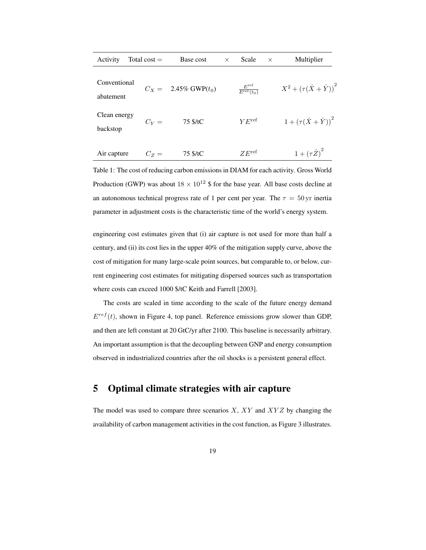| Activity                  | Total $cost =$ | Base cost                   | $\times$ | Scale                                        | $\times$ | Multiplier                          |
|---------------------------|----------------|-----------------------------|----------|----------------------------------------------|----------|-------------------------------------|
| Conventional<br>abatement |                | $C_X = 2.45\%$ GWP( $t_0$ ) |          | $\frac{E^{\text{ref}}}{E^{\text{ref}}(t_0)}$ |          | $X^2 + (\tau(\dot{X} + \dot{Y}))^2$ |
| Clean energy<br>backstop  | $C_Y =$        | 75 \$/tC                    |          | YE <sup>ref</sup>                            |          | $1 + (\tau(\dot{X} + \dot{Y}))^2$   |
| Air capture               | $C_Z =$        | 75 \$/tC                    |          | ZF <sup>ref</sup>                            |          | $1+\left(\tau\dot{Z}\right)^2$      |

Table 1: The cost of reducing carbon emissionsin DIAM for each activity. Gross World Production (GWP) was about  $18 \times 10^{12}$  \$ for the base year. All base costs decline at an autonomous technical progress rate of 1 per cent per year. The  $\tau = 50$  yr inertia parameter in adjustment costs is the characteristic time of the world's energy system.

engineering cost estimates given that (i) air capture is not used for more than half a century, and (ii) its cost lies in the upper 40% of the mitigation supply curve, above the cost of mitigation for many large-scale point sources, but comparable to, or below, current engineering cost estimates for mitigating dispersed sources such as transportation where costs can exceed 1000 \$/tC Keith and Farrell [2003].

The costs are scaled in time according to the scale of the future energy demand  $E^{ref}(t)$ , shown in Figure 4, top panel. Reference emissions grow slower than GDP, and then are left constant at 20 GtC/yr after 2100. This baseline is necessarily arbitrary. An important assumption is that the decoupling between GNP and energy consumption observed in industrialized countries after the oil shocks is a persistent general effect.

## **5 Optimal climate strategies with air capture**

The model was used to compare three scenarios  $X, XY$  and  $XYZ$  by changing the availability of carbon management activities in the cost function, as Figure 3 illustrates.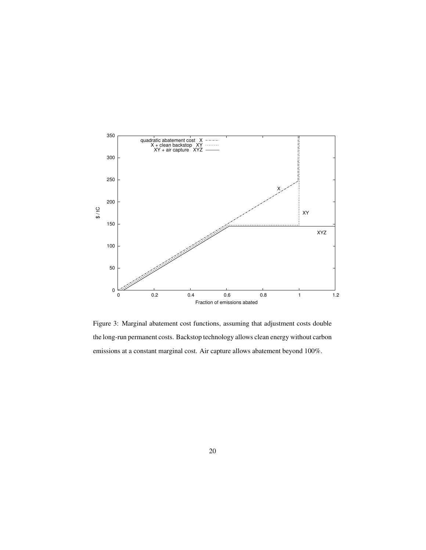

Figure 3: Marginal abatement cost functions, assuming that adjustment costs double the long-run permanent costs. Backstop technology allows clean energy without carbon emissions at a constant marginal cost. Air capture allows abatement beyond 100%.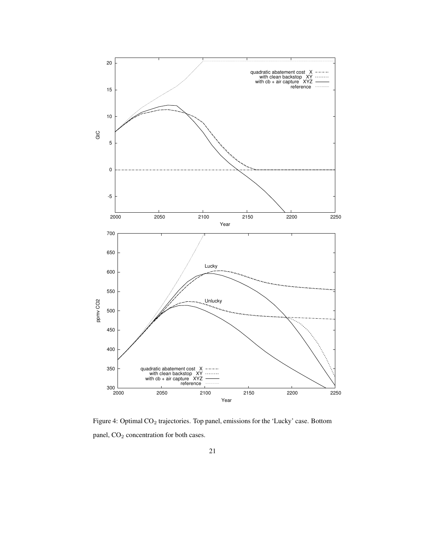

Figure 4: Optimal CO<sup>2</sup> trajectories. Top panel, emissions for the 'Lucky' case. Bottom panel, CO<sub>2</sub> concentration for both cases.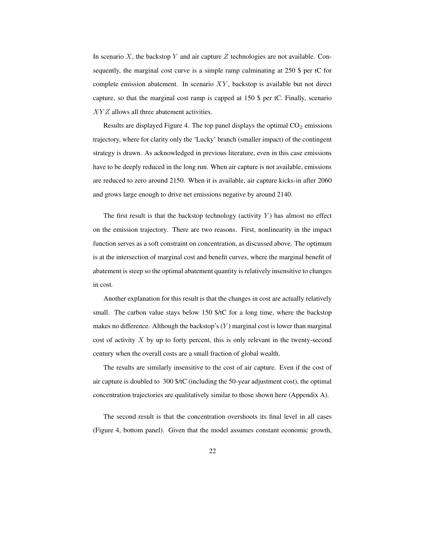In scenario  $X$ , the backstop  $Y$  and air capture  $Z$  technologies are not available. Consequently, the marginal cost curve is a simple ramp culminating at 250 \$ per tC for complete emission abatement. In scenario  $XY$ , backstop is available but not direct capture, so that the marginal cost ramp is capped at 150 \$ per tC. Finally, scenario XYZ allows all three abatement activities.

Results are displayed Figure 4. The top panel displays the optimal  $CO<sub>2</sub>$  emissions trajectory, where for clarity only the 'Lucky' branch (smaller impact) of the contingent strategy is drawn. As acknowledged in previous literature, even in this case emissions have to be deeply reduced in the long run. When air capture is not available, emissions are reduced to zero around 2150. When it is available, air capture kicks-in after 2060 and grows large enough to drive net emissions negative by around 2140.

The first result is that the backstop technology (activity  $Y$ ) has almost no effect on the emission trajectory. There are two reasons. First, nonlinearity in the impact function serves as a soft constraint on concentration, as discussed above. The optimum is at the intersection of marginal cost and benefit curves, where the marginal benefit of abatement is steep so the optimal abatement quantity is relatively insensitive to changes in cost.

Another explanation for this result is that the changes in cost are actually relatively small. The carbon value stays below 150 \$/tC for a long time, where the backstop makes no difference. Although the backstop's  $(Y)$  marginal cost is lower than marginal cost of activity  $X$  by up to forty percent, this is only relevant in the twenty-second century when the overall costs are a small fraction of global wealth.

The results are similarly insensitive to the cost of air capture. Even if the cost of air capture is doubled to 300 \$/tC (including the 50-year adjustment cost), the optimal concentration trajectories are qualitatively similar to those shown here (Appendix A).

The second result is that the concentration overshoots its final level in all cases (Figure 4, bottom panel). Given that the model assumes constant economic growth,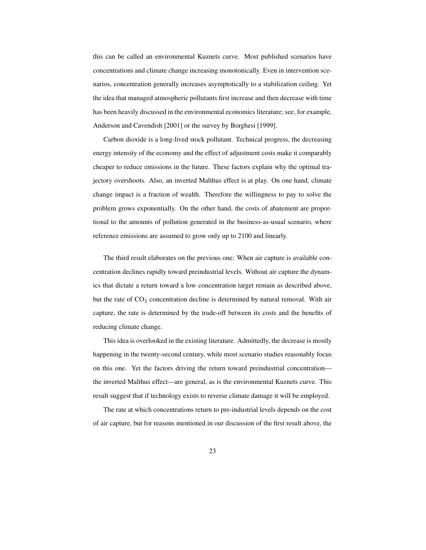this can be called an environmental Kuznets curve. Most published scenarios have concentrations and climate change increasing monotonically. Even in intervention scenarios, concentration generally increases asymptotically to a stabilization ceiling. Yet the idea that managed atmospheric pollutants first increase and then decrease with time has been heavily discussed in the environmental economics literature; see, for example, Anderson and Cavendish [2001] or the survey by Borghesi [1999].

Carbon dioxide is a long-lived stock pollutant. Technical progress, the decreasing energy intensity of the economy and the effect of adjustment costs make it comparably cheaper to reduce emissions in the future. These factors explain why the optimal trajectory overshoots. Also, an inverted Malthus effect is at play. On one hand, climate change impact is a fraction of wealth. Therefore the willingness to pay to solve the problem grows exponentially. On the other hand, the costs of abatement are proportional to the amounts of pollution generated in the business-as-usual scenario, where reference emissions are assumed to grow only up to 2100 and linearly.

The third result elaborates on the previous one: When air capture is available concentration declines rapidly toward preindustrial levels. Without air capture the dynamics that dictate a return toward a low concentration target remain as described above, but the rate of  $CO<sub>2</sub>$  concentration decline is determined by natural removal. With air capture, the rate is determined by the trade-off between its costs and the benefits of reducing climate change.

This idea is overlooked in the existing literature. Admittedly, the decrease is mostly happening in the twenty-second century, while most scenario studies reasonably focus on this one. Yet the factors driving the return toward preindustrial concentration the inverted Malthus effect—are general, as is the environmental Kuznets curve. This result suggest that if technology exists to reverse climate damage it will be employed.

The rate at which concentrations return to pre-industrial levels depends on the cost of air capture, but for reasons mentioned in our discussion of the first result above, the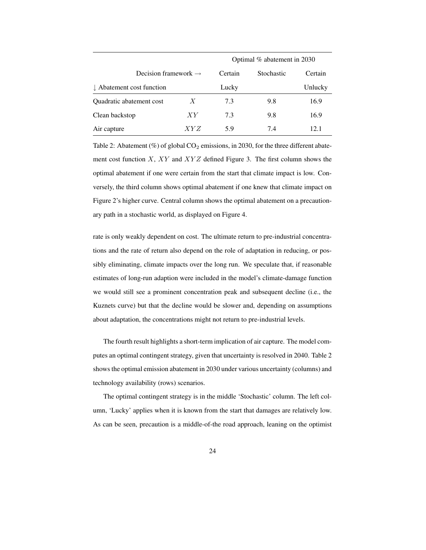|                                      |             | Optimal % abatement in 2030 |            |         |  |
|--------------------------------------|-------------|-----------------------------|------------|---------|--|
| Decision framework $\rightarrow$     |             | Certain                     | Stochastic | Certain |  |
| $\downarrow$ Abatement cost function |             | Lucky                       |            | Unlucky |  |
| Quadratic abatement cost             | X           | 7.3                         | 9.8        | 16.9    |  |
| Clean backstop                       | XY          | 7.3                         | 9.8        | 16.9    |  |
| Air capture                          | <i>XY Z</i> | 5.9                         | 7.4        | 12.1    |  |

Table 2: Abatement (%) of global  $CO_2$  emissions, in 2030, for the three different abatement cost function  $X$ ,  $XY$  and  $XYZ$  defined Figure 3. The first column shows the optimal abatement if one were certain from the start that climate impact is low. Conversely, the third column shows optimal abatement if one knew that climate impact on Figure 2's higher curve. Central column shows the optimal abatement on a precautionary path in a stochastic world, as displayed on Figure 4.

rate is only weakly dependent on cost. The ultimate return to pre-industrial concentrations and the rate of return also depend on the role of adaptation in reducing, or possibly eliminating, climate impacts over the long run. We speculate that, if reasonable estimates of long-run adaption were included in the model's climate-damage function we would still see a prominent concentration peak and subsequent decline (i.e., the Kuznets curve) but that the decline would be slower and, depending on assumptions about adaptation, the concentrations might not return to pre-industrial levels.

The fourth result highlights a short-term implication of air capture. The model computes an optimal contingent strategy, given that uncertainty is resolved in 2040. Table 2 showsthe optimal emission abatement in 2030 under various uncertainty (columns) and technology availability (rows) scenarios.

The optimal contingent strategy is in the middle 'Stochastic' column. The left column, 'Lucky' applies when it is known from the start that damages are relatively low. As can be seen, precaution is a middle-of-the road approach, leaning on the optimist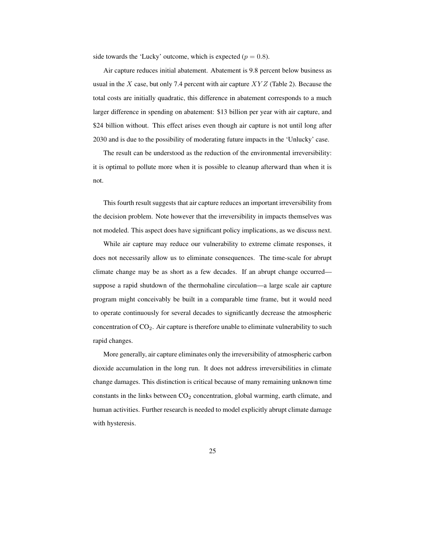side towards the 'Lucky' outcome, which is expected ( $p = 0.8$ ).

Air capture reduces initial abatement. Abatement is 9.8 percent below business as usual in the X case, but only 7.4 percent with air capture  $XYZ$  (Table 2). Because the total costs are initially quadratic, this difference in abatement corresponds to a much larger difference in spending on abatement: \$13 billion per year with air capture, and \$24 billion without. This effect arises even though air capture is not until long after 2030 and is due to the possibility of moderating future impacts in the 'Unlucky' case.

The result can be understood as the reduction of the environmental irreversibility: it is optimal to pollute more when it is possible to cleanup afterward than when it is not.

This fourth result suggests that air capture reduces an important irreversibility from the decision problem. Note however that the irreversibility in impacts themselves was not modeled. This aspect does have significant policy implications, as we discuss next.

While air capture may reduce our vulnerability to extreme climate responses, it does not necessarily allow us to eliminate consequences. The time-scale for abrupt climate change may be as short as a few decades. If an abrupt change occurred suppose a rapid shutdown of the thermohaline circulation—a large scale air capture program might conceivably be built in a comparable time frame, but it would need to operate continuously for several decades to significantly decrease the atmospheric concentration of  $CO<sub>2</sub>$ . Air capture is therefore unable to eliminate vulnerability to such rapid changes.

More generally, air capture eliminates only the irreversibility of atmospheric carbon dioxide accumulation in the long run. It does not address irreversibilities in climate change damages. This distinction is critical because of many remaining unknown time constants in the links between  $CO<sub>2</sub>$  concentration, global warming, earth climate, and human activities. Further research is needed to model explicitly abrupt climate damage with hysteresis.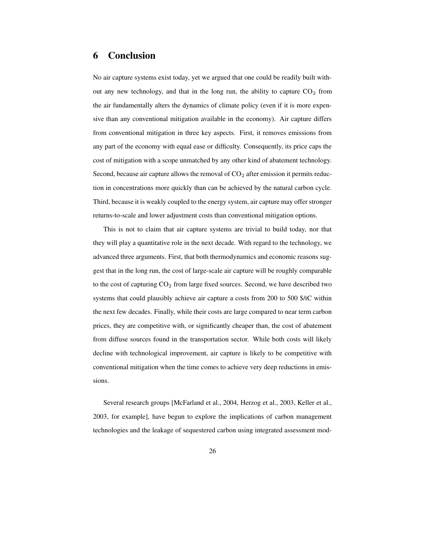### **6 Conclusion**

No air capture systems exist today, yet we argued that one could be readily built without any new technology, and that in the long run, the ability to capture  $CO<sub>2</sub>$  from the air fundamentally alters the dynamics of climate policy (even if it is more expensive than any conventional mitigation available in the economy). Air capture differs from conventional mitigation in three key aspects. First, it removes emissions from any part of the economy with equal ease or difficulty. Consequently, its price caps the cost of mitigation with a scope unmatched by any other kind of abatement technology. Second, because air capture allows the removal of  $CO<sub>2</sub>$  after emission it permits reduction in concentrations more quickly than can be achieved by the natural carbon cycle. Third, because it is weakly coupled to the energy system, air capture may offer stronger returns-to-scale and lower adjustment costs than conventional mitigation options.

This is not to claim that air capture systems are trivial to build today, nor that they will play a quantitative role in the next decade. With regard to the technology, we advanced three arguments. First, that both thermodynamics and economic reasons suggest that in the long run, the cost of large-scale air capture will be roughly comparable to the cost of capturing  $CO_2$  from large fixed sources. Second, we have described two systems that could plausibly achieve air capture a costs from 200 to 500 \$/tC within the next few decades. Finally, while their costs are large compared to near term carbon prices, they are competitive with, or significantly cheaper than, the cost of abatement from diffuse sources found in the transportation sector. While both costs will likely decline with technological improvement, air capture is likely to be competitive with conventional mitigation when the time comes to achieve very deep reductions in emissions.

Several research groups [McFarland et al., 2004, Herzog et al., 2003, Keller et al., 2003, for example], have begun to explore the implications of carbon management technologies and the leakage of sequestered carbon using integrated assessment mod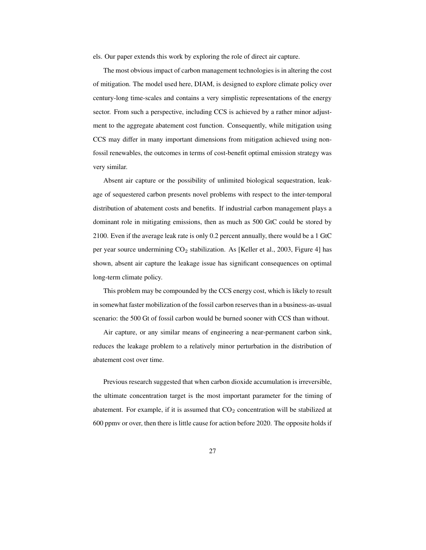els. Our paper extends this work by exploring the role of direct air capture.

The most obvious impact of carbon management technologies is in altering the cost of mitigation. The model used here, DIAM, is designed to explore climate policy over century-long time-scales and contains a very simplistic representations of the energy sector. From such a perspective, including CCS is achieved by a rather minor adjustment to the aggregate abatement cost function. Consequently, while mitigation using CCS may differ in many important dimensions from mitigation achieved using nonfossil renewables, the outcomes in terms of cost-benefit optimal emission strategy was very similar.

Absent air capture or the possibility of unlimited biological sequestration, leakage of sequestered carbon presents novel problems with respect to the inter-temporal distribution of abatement costs and benefits. If industrial carbon management plays a dominant role in mitigating emissions, then as much as 500 GtC could be stored by 2100. Even if the average leak rate is only 0.2 percent annually, there would be a 1 GtC per year source undermining  $CO_2$  stabilization. As [Keller et al., 2003, Figure 4] has shown, absent air capture the leakage issue has significant consequences on optimal long-term climate policy.

This problem may be compounded by the CCS energy cost, which is likely to result in somewhat faster mobilization of the fossil carbon reservesthan in a business-as-usual scenario: the 500 Gt of fossil carbon would be burned sooner with CCS than without.

Air capture, or any similar means of engineering a near-permanent carbon sink, reduces the leakage problem to a relatively minor perturbation in the distribution of abatement cost over time.

Previous research suggested that when carbon dioxide accumulation is irreversible, the ultimate concentration target is the most important parameter for the timing of abatement. For example, if it is assumed that  $CO<sub>2</sub>$  concentration will be stabilized at 600 ppmv or over, then there is little cause for action before 2020. The opposite holds if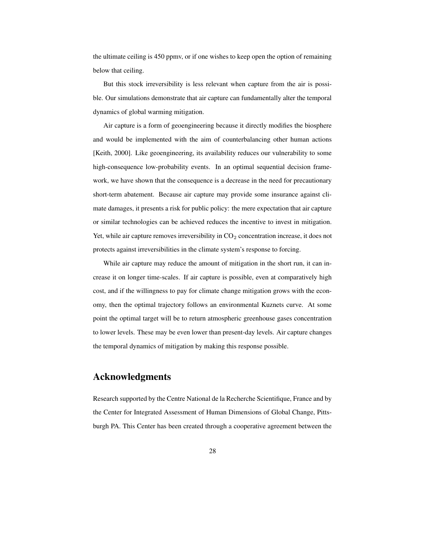the ultimate ceiling is 450 ppmv, or if one wishes to keep open the option of remaining below that ceiling.

But this stock irreversibility is less relevant when capture from the air is possible. Our simulations demonstrate that air capture can fundamentally alter the temporal dynamics of global warming mitigation.

Air capture is a form of geoengineering because it directly modifies the biosphere and would be implemented with the aim of counterbalancing other human actions [Keith, 2000]. Like geoengineering, its availability reduces our vulnerability to some high-consequence low-probability events. In an optimal sequential decision framework, we have shown that the consequence is a decrease in the need for precautionary short-term abatement. Because air capture may provide some insurance against climate damages, it presents a risk for public policy: the mere expectation that air capture or similar technologies can be achieved reduces the incentive to invest in mitigation. Yet, while air capture removes irreversibility in  $CO<sub>2</sub>$  concentration increase, it does not protects against irreversibilities in the climate system's response to forcing.

While air capture may reduce the amount of mitigation in the short run, it can increase it on longer time-scales. If air capture is possible, even at comparatively high cost, and if the willingness to pay for climate change mitigation grows with the economy, then the optimal trajectory follows an environmental Kuznets curve. At some point the optimal target will be to return atmospheric greenhouse gases concentration to lower levels. These may be even lower than present-day levels. Air capture changes the temporal dynamics of mitigation by making this response possible.

## **Acknowledgments**

Research supported by the Centre National de la Recherche Scientifique, France and by the Center for Integrated Assessment of Human Dimensions of Global Change, Pittsburgh PA. This Center has been created through a cooperative agreement between the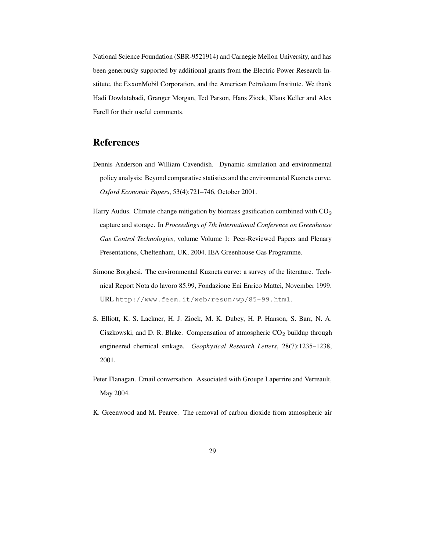National Science Foundation (SBR-9521914) and Carnegie Mellon University, and has been generously supported by additional grants from the Electric Power Research Institute, the ExxonMobil Corporation, and the American Petroleum Institute. We thank Hadi Dowlatabadi, Granger Morgan, Ted Parson, Hans Ziock, Klaus Keller and Alex Farell for their useful comments.

## **References**

- Dennis Anderson and William Cavendish. Dynamic simulation and environmental policy analysis: Beyond comparative statistics and the environmental Kuznets curve. *Oxford Economic Papers*, 53(4):721–746, October 2001.
- Harry Audus. Climate change mitigation by biomass gasification combined with  $CO<sub>2</sub>$ capture and storage. In *Proceedings of 7th International Conference on Greenhouse Gas Control Technologies*, volume Volume 1: Peer-Reviewed Papers and Plenary Presentations, Cheltenham, UK, 2004. IEA Greenhouse Gas Programme.
- Simone Borghesi. The environmental Kuznets curve: a survey of the literature. Technical Report Nota do lavoro 85.99, Fondazione Eni Enrico Mattei, November 1999. URL http://www.feem.it/web/resun/wp/85-99.html.
- S. Elliott, K. S. Lackner, H. J. Ziock, M. K. Dubey, H. P. Hanson, S. Barr, N. A. Ciszkowski, and D. R. Blake. Compensation of atmospheric  $CO<sub>2</sub>$  buildup through engineered chemical sinkage. *Geophysical Research Letters*, 28(7):1235–1238, 2001.
- Peter Flanagan. Email conversation. Associated with Groupe Laperrire and Verreault, May 2004.
- K. Greenwood and M. Pearce. The removal of carbon dioxide from atmospheric air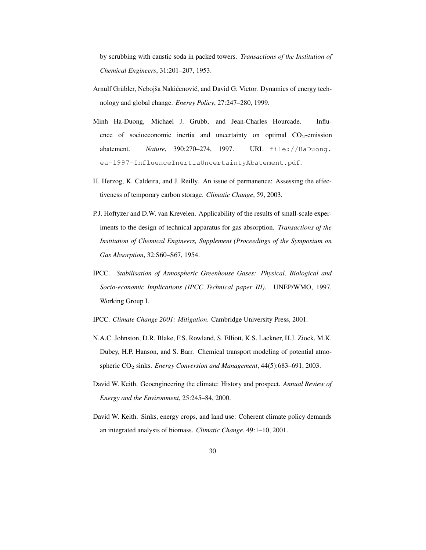by scrubbing with caustic soda in packed towers. *Transactions of the Institution of Chemical Engineers*, 31:201–207, 1953.

- Arnulf Grübler, Nebojša Nakićenović, and David G. Victor. Dynamics of energy technology and global change. *Energy Policy*, 27:247–280, 1999.
- Minh Ha-Duong, Michael J. Grubb, and Jean-Charles Hourcade. Influence of socioeconomic inertia and uncertainty on optimal  $CO<sub>2</sub>$ -emission abatement. *Nature*, 390:270–274, 1997. URL file://HaDuong. ea-1997-InfluenceInertiaUncertaintyAbatement.pdf.
- H. Herzog, K. Caldeira, and J. Reilly. An issue of permanence: Assessing the effectiveness of temporary carbon storage. *Climatic Change*, 59, 2003.
- P.J. Hoftyzer and D.W. van Krevelen. Applicability of the results of small-scale experiments to the design of technical apparatus for gas absorption. *Transactions of the Institution of Chemical Engineers, Supplement (Proceedings of the Symposium on Gas Absorption*, 32:S60–S67, 1954.
- IPCC. *Stabilisation of Atmospheric Greenhouse Gases: Physical, Biological and Socio-economic Implications (IPCC Technical paper III)*. UNEP/WMO, 1997. Working Group I.
- IPCC. *Climate Change 2001: Mitigation*. Cambridge University Press, 2001.
- N.A.C. Johnston, D.R. Blake, F.S. Rowland, S. Elliott, K.S. Lackner, H.J. Ziock, M.K. Dubey, H.P. Hanson, and S. Barr. Chemical transport modeling of potential atmospheric CO<sup>2</sup> sinks. *Energy Conversion and Management*, 44(5):683–691, 2003.
- David W. Keith. Geoengineering the climate: History and prospect. *Annual Review of Energy and the Environment*, 25:245–84, 2000.
- David W. Keith. Sinks, energy crops, and land use: Coherent climate policy demands an integrated analysis of biomass. *Climatic Change*, 49:1–10, 2001.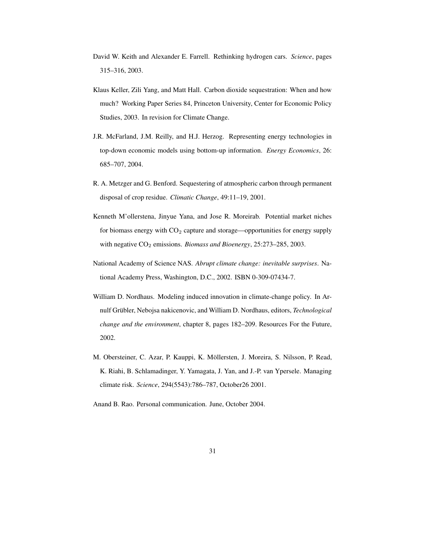- David W. Keith and Alexander E. Farrell. Rethinking hydrogen cars. *Science*, pages 315–316, 2003.
- Klaus Keller, Zili Yang, and Matt Hall. Carbon dioxide sequestration: When and how much? Working Paper Series 84, Princeton University, Center for Economic Policy Studies, 2003. In revision for Climate Change.
- J.R. McFarland, J.M. Reilly, and H.J. Herzog. Representing energy technologies in top-down economic models using bottom-up information. *Energy Economics*, 26: 685–707, 2004.
- R. A. Metzger and G. Benford. Sequestering of atmospheric carbon through permanent disposal of crop residue. *Climatic Change*, 49:11–19, 2001.
- Kenneth M'ollerstena, Jinyue Yana, and Jose R. Moreirab. Potential market niches for biomass energy with  $CO<sub>2</sub>$  capture and storage—opportunities for energy supply with negative CO<sub>2</sub> emissions. *Biomass and Bioenergy*, 25:273-285, 2003.
- National Academy of Science NAS. *Abrupt climate change: inevitable surprises*. National Academy Press, Washington, D.C., 2002. ISBN 0-309-07434-7.
- William D. Nordhaus. Modeling induced innovation in climate-change policy. In Arnulf Grübler, Nebojsa nakicenovic, and William D. Nordhaus, editors, *Technological change and the environment*, chapter 8, pages 182–209. Resources For the Future, 2002.
- M. Obersteiner, C. Azar, P. Kauppi, K. Möllersten, J. Moreira, S. Nilsson, P. Read, K. Riahi, B. Schlamadinger, Y. Yamagata, J. Yan, and J.-P. van Ypersele. Managing climate risk. *Science*, 294(5543):786–787, October26 2001.

Anand B. Rao. Personal communication. June, October 2004.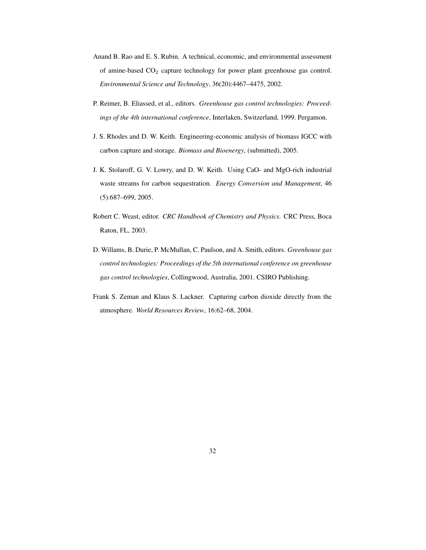- Anand B. Rao and E. S. Rubin. A technical, economic, and environmental assessment of amine-based  $CO<sub>2</sub>$  capture technology for power plant greenhouse gas control. *Environmental Science and Technology*, 36(20):4467–4475, 2002.
- P. Reimer, B. Eliassed, et al., editors. *Greenhouse gas control technologies: Proceedings of the 4th international conference*, Interlaken, Switzerland, 1999. Pergamon.
- J. S. Rhodes and D. W. Keith. Engineering-economic analysis of biomass IGCC with carbon capture and storage. *Biomass and Bioenergy*, (submitted), 2005.
- J. K. Stolaroff, G. V. Lowry, and D. W. Keith. Using CaO- and MgO-rich industrial waste streams for carbon sequestration. *Energy Conversion and Management*, 46 (5):687–699, 2005.
- Robert C. Weast, editor. *CRC Handbook of Chemistry and Physics*. CRC Press, Boca Raton, FL, 2003.
- D. Willams, B. Durie, P. McMullan, C. Paulson, and A. Smith, editors. *Greenhouse gas control technologies: Proceedings of the 5th international conference on greenhouse gas control technologies*, Collingwood, Australia, 2001. CSIRO Publishing.
- Frank S. Zeman and Klaus S. Lackner. Capturing carbon dioxide directly from the atmosphere. *World Resources Review*, 16:62–68, 2004.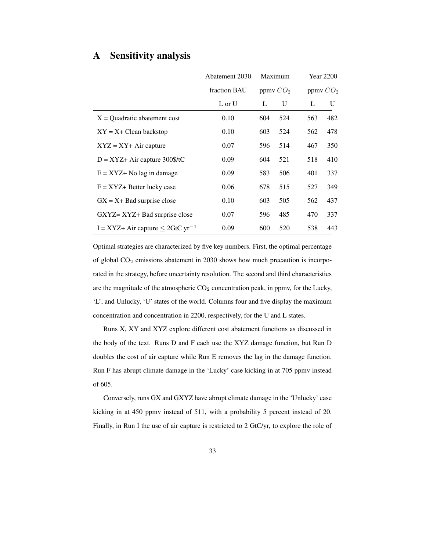## **A Sensitivity analysis**

|                                                   | Abatement 2030 | Maximum    |     |            | Year 2200 |  |
|---------------------------------------------------|----------------|------------|-----|------------|-----------|--|
|                                                   | fraction BAU   | ppmy $CO2$ |     | ppmy $CO2$ |           |  |
|                                                   | L or U         | L          | U   | L          | U         |  |
| $X =$ Quadratic abatement cost                    | 0.10           | 604        | 524 | 563        | 482       |  |
| $XY = X + Clean$ backstop                         | 0.10           | 603        | 524 | 562        | 478       |  |
| $XYZ = XY + Air$ capture                          | 0.07           | 596        | 514 | 467        | 350       |  |
| $D = XYZ+ Air$ capture 300\$/tC                   | 0.09           | 604        | 521 | 518        | 410       |  |
| $E = XYZ + No$ lag in damage                      | 0.09           | 583        | 506 | 401        | 337       |  |
| $F = XYZ + Better$ lucky case                     | 0.06           | 678        | 515 | 527        | 349       |  |
| $GX = X + Bad$ surprise close                     | 0.10           | 603        | 505 | 562        | 437       |  |
| $GXYZ = XYZ + Bad$ surprise close                 | 0.07           | 596        | 485 | 470        | 337       |  |
| I = XYZ+ Air capture $\leq$ 2GtC yr <sup>-1</sup> | 0.09           | 600        | 520 | 538        | 443       |  |

Optimal strategies are characterized by five key numbers. First, the optimal percentage of global  $CO<sub>2</sub>$  emissions abatement in 2030 shows how much precaution is incorporated in the strategy, before uncertainty resolution. The second and third characteristics are the magnitude of the atmospheric  $CO<sub>2</sub>$  concentration peak, in ppmv, for the Lucky, 'L', and Unlucky, 'U' states of the world. Columns four and five display the maximum concentration and concentration in 2200, respectively, for the U and L states.

Runs X, XY and XYZ explore different cost abatement functions as discussed in the body of the text. Runs D and F each use the XYZ damage function, but Run D doubles the cost of air capture while Run E removes the lag in the damage function. Run F has abrupt climate damage in the 'Lucky' case kicking in at 705 ppmv instead of 605.

Conversely, runs GX and GXYZ have abrupt climate damage in the 'Unlucky' case kicking in at 450 ppmv instead of 511, with a probability 5 percent instead of 20. Finally, in Run I the use of air capture is restricted to 2 GtC/yr, to explore the role of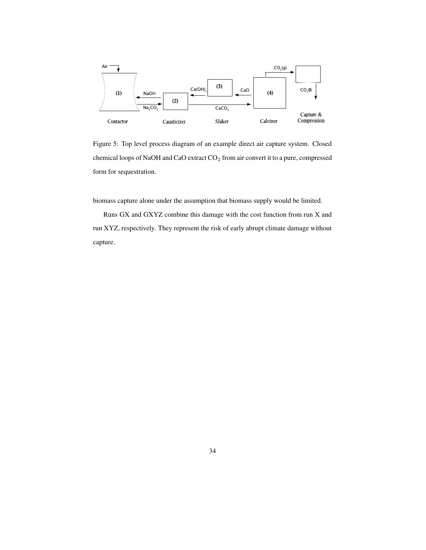

Figure 5: Top level process diagram of an example direct air capture system. Closed chemical loops of NaOH and CaO extract CO<sub>2</sub> from air convert it to a pure, compressed form for sequestration.

biomass capture alone under the assumption that biomass supply would be limited.

Runs GX and GXYZ combine this damage with the cost function from run X and run XYZ, respectively. They represent the risk of early abrupt climate damage without capture.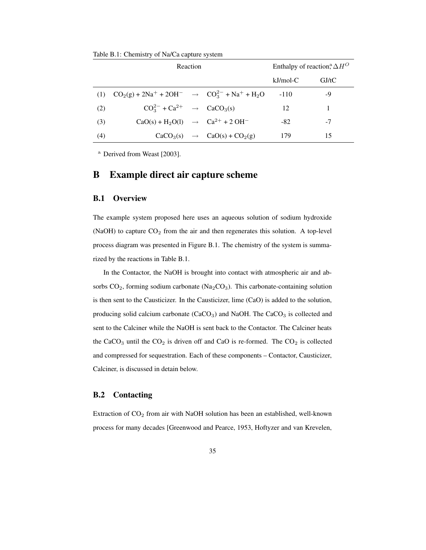|     | Reaction                                                       |                                            | Enthalpy of reaction, $\Delta H^O$ |       |
|-----|----------------------------------------------------------------|--------------------------------------------|------------------------------------|-------|
|     |                                                                |                                            | $kJ/mol-C$                         | GJ/tC |
| (1) | $CO_2(g) + 2Na^+ + 2OH^ \rightarrow$ $CO_3^{2-} + Na^+ + H_2O$ |                                            | $-110$                             | -9    |
| (2) | $CO_3^{2-} + Ca^{2+} \rightarrow CaCO_3(s)$                    |                                            | 12                                 |       |
| (3) | $CaO(s) + H_2O(l)$ $\rightarrow$ $Ca^{2+} + 2OH^{-}$           |                                            | -82                                | $-7$  |
| (4) |                                                                | $CaCO3(s)$ $\rightarrow$ $CaO(s) + CO2(g)$ | 179                                | 15    |

Table B.1: Chemistry of Na/Ca capture system

<sup>a</sup> Derived from Weast [2003].

## **B Example direct air capture scheme**

### **B.1 Overview**

The example system proposed here uses an aqueous solution of sodium hydroxide (NaOH) to capture  $CO_2$  from the air and then regenerates this solution. A top-level process diagram was presented in Figure B.1. The chemistry of the system is summarized by the reactions in Table B.1.

In the Contactor, the NaOH is brought into contact with atmospheric air and absorbs  $CO_2$ , forming sodium carbonate (Na<sub>2</sub>CO<sub>3</sub>). This carbonate-containing solution is then sent to the Causticizer. In the Causticizer, lime (CaO) is added to the solution, producing solid calcium carbonate  $(CaCO<sub>3</sub>)$  and NaOH. The  $CaCO<sub>3</sub>$  is collected and sent to the Calciner while the NaOH is sent back to the Contactor. The Calciner heats the  $CaCO<sub>3</sub>$  until the  $CO<sub>2</sub>$  is driven off and CaO is re-formed. The  $CO<sub>2</sub>$  is collected and compressed for sequestration. Each of these components – Contactor, Causticizer, Calciner, is discussed in detain below.

### **B.2 Contacting**

Extraction of  $CO<sub>2</sub>$  from air with NaOH solution has been an established, well-known process for many decades [Greenwood and Pearce, 1953, Hoftyzer and van Krevelen,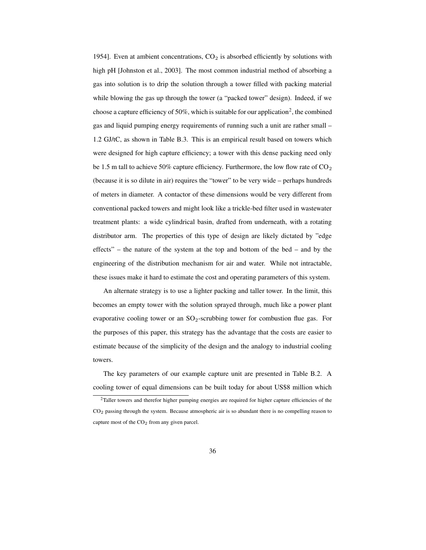1954]. Even at ambient concentrations,  $CO<sub>2</sub>$  is absorbed efficiently by solutions with high pH [Johnston et al., 2003]. The most common industrial method of absorbing a gas into solution is to drip the solution through a tower filled with packing material while blowing the gas up through the tower (a "packed tower" design). Indeed, if we choose a capture efficiency of 50%, which is suitable for our application<sup>2</sup>, the combined gas and liquid pumping energy requirements of running such a unit are rather small – 1.2 GJ/tC, as shown in Table B.3. This is an empirical result based on towers which were designed for high capture efficiency; a tower with this dense packing need only be 1.5 m tall to achieve 50% capture efficiency. Furthermore, the low flow rate of  $CO<sub>2</sub>$ (because it is so dilute in air) requires the "tower" to be very wide – perhaps hundreds of meters in diameter. A contactor of these dimensions would be very different from conventional packed towers and might look like a trickle-bed filter used in wastewater treatment plants: a wide cylindrical basin, drafted from underneath, with a rotating distributor arm. The properties of this type of design are likely dictated by "edge effects" – the nature of the system at the top and bottom of the bed – and by the engineering of the distribution mechanism for air and water. While not intractable, these issues make it hard to estimate the cost and operating parameters of this system.

An alternate strategy is to use a lighter packing and taller tower. In the limit, this becomes an empty tower with the solution sprayed through, much like a power plant evaporative cooling tower or an  $SO_2$ -scrubbing tower for combustion flue gas. For the purposes of this paper, this strategy has the advantage that the costs are easier to estimate because of the simplicity of the design and the analogy to industrial cooling towers.

The key parameters of our example capture unit are presented in Table B.2. A cooling tower of equal dimensions can be built today for about US\$8 million which

<sup>&</sup>lt;sup>2</sup>Taller towers and therefor higher pumping energies are required for higher capture efficiencies of the CO<sup>2</sup> passing through the system. Because atmospheric air is so abundant there is no compelling reason to capture most of the  $CO<sub>2</sub>$  from any given parcel.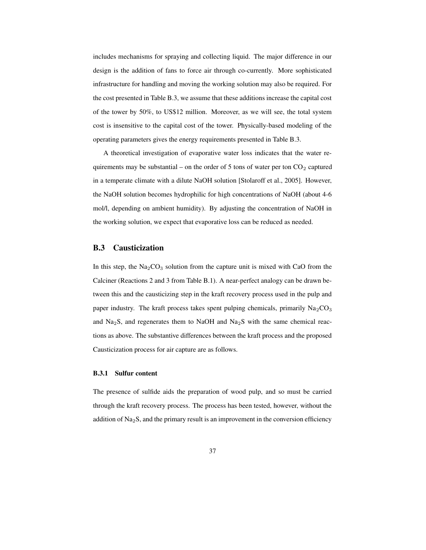includes mechanisms for spraying and collecting liquid. The major difference in our design is the addition of fans to force air through co-currently. More sophisticated infrastructure for handling and moving the working solution may also be required. For the cost presented in Table B.3, we assume that these additions increase the capital cost of the tower by 50%, to US\$12 million. Moreover, as we will see, the total system cost is insensitive to the capital cost of the tower. Physically-based modeling of the operating parameters gives the energy requirements presented in Table B.3.

A theoretical investigation of evaporative water loss indicates that the water requirements may be substantial – on the order of 5 tons of water per ton  $CO<sub>2</sub>$  captured in a temperate climate with a dilute NaOH solution [Stolaroff et al., 2005]. However, the NaOH solution becomes hydrophilic for high concentrations of NaOH (about 4-6 mol/l, depending on ambient humidity). By adjusting the concentration of NaOH in the working solution, we expect that evaporative loss can be reduced as needed.

### **B.3 Causticization**

In this step, the  $Na<sub>2</sub>CO<sub>3</sub>$  solution from the capture unit is mixed with CaO from the Calciner (Reactions 2 and 3 from Table B.1). A near-perfect analogy can be drawn between this and the causticizing step in the kraft recovery process used in the pulp and paper industry. The kraft process takes spent pulping chemicals, primarily  $Na<sub>2</sub>CO<sub>3</sub>$ and Na<sub>2</sub>S, and regenerates them to NaOH and Na<sub>2</sub>S with the same chemical reactions as above. The substantive differences between the kraft process and the proposed Causticization process for air capture are as follows.

#### **B.3.1 Sulfur content**

The presence of sulfide aids the preparation of wood pulp, and so must be carried through the kraft recovery process. The process has been tested, however, without the addition of  $Na<sub>2</sub>S$ , and the primary result is an improvement in the conversion efficiency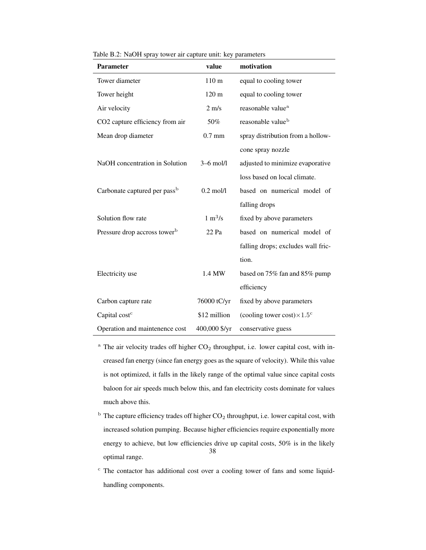| Parameter                                | value              | motivation                                |
|------------------------------------------|--------------------|-------------------------------------------|
| Tower diameter                           | 110 <sub>m</sub>   | equal to cooling tower                    |
| Tower height                             | $120 \text{ m}$    | equal to cooling tower                    |
| Air velocity                             | $2 \text{ m/s}$    | reasonable value <sup>a</sup>             |
| CO2 capture efficiency from air          | 50%                | reasonable value <sup>b</sup>             |
| Mean drop diameter                       | $0.7$ mm           | spray distribution from a hollow-         |
|                                          |                    | cone spray nozzle                         |
| NaOH concentration in Solution           | $3-6$ mol/l        | adjusted to minimize evaporative          |
|                                          |                    | loss based on local climate.              |
| Carbonate captured per pass <sup>b</sup> | $0.2$ mol/l        | based on numerical model of               |
|                                          |                    | falling drops                             |
| Solution flow rate                       | $1 \text{ m}^3$ /s | fixed by above parameters                 |
| Pressure drop accross tower <sup>b</sup> | 22 Pa              | based on numerical model of               |
|                                          |                    | falling drops; excludes wall fric-        |
|                                          |                    | tion.                                     |
| Electricity use                          | 1.4 MW             | based on 75% fan and 85% pump             |
|                                          |                    | efficiency                                |
| Carbon capture rate                      | 76000 tC/yr        | fixed by above parameters                 |
| Capital cost <sup>c</sup>                | \$12 million       | (cooling tower cost) $\times 1.5^{\circ}$ |
| Operation and maintenence cost           | 400,000 \$/yr      | conservative guess                        |

Table B.2: NaOH spray tower air capture unit: key parameters

 $^{\text{a}}$  The air velocity trades off higher CO<sub>2</sub> throughput, i.e. lower capital cost, with increased fan energy (since fan energy goes as the square of velocity). While this value is not optimized, it falls in the likely range of the optimal value since capital costs baloon for air speeds much below this, and fan electricity costs dominate for values much above this.

- $b$  The capture efficiency trades off higher  $CO<sub>2</sub>$  throughput, i.e. lower capital cost, with increased solution pumping. Because higher efficiencies require exponentially more energy to achieve, but low efficiencies drive up capital costs, 50% is in the likely optimal range. 38
- <sup>c</sup> The contactor has additional cost over a cooling tower of fans and some liquidhandling components.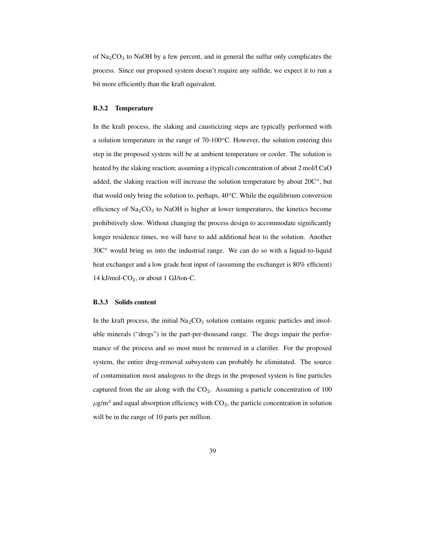of  $\text{Na}_2\text{CO}_3$  to NaOH by a few percent, and in general the sulfur only complicates the process. Since our proposed system doesn't require any sulfide, we expect it to run a bit more efficiently than the kraft equivalent.

#### **B.3.2 Temperature**

In the kraft process, the slaking and causticizing steps are typically performed with a solution temperature in the range of  $70-100^{\circ}$ C. However, the solution entering this step in the proposed system will be at ambient temperature or cooler. The solution is heated by the slaking reaction; assuming a (typical) concentration of about 2 mol/l CaO added, the slaking reaction will increase the solution temperature by about  $20C^{\circ}$ , but that would only bring the solution to, perhaps,  $40^{\circ}$ C. While the equilibrium conversion efficiency of  $Na<sub>2</sub>CO<sub>3</sub>$  to NaOH is higher at lower temperatures, the kinetics become prohibitively slow. Without changing the process design to accommodate significantly longer residence times, we will have to add additional heat to the solution. Another  $30C<sup>o</sup>$  would bring us into the industrial range. We can do so with a liquid-to-liquid heat exchanger and a low grade heat input of (assuming the exchanger is 80% efficient) 14 kJ/mol- $CO_2$ , or about 1 GJ/ton-C.

#### **B.3.3 Solids content**

In the kraft process, the initial  $Na<sub>2</sub>CO<sub>3</sub>$  solution contains organic particles and insoluble minerals ("dregs") in the part-per-thousand range. The dregs impair the performance of the process and so most must be removed in a clarifier. For the proposed system, the entire dreg-removal subsystem can probably be eliminated. The source of contamination most analogous to the dregs in the proposed system is fine particles captured from the air along with the  $CO<sub>2</sub>$ . Assuming a particle concentration of 100  $\mu$ g/m<sup>3</sup> and equal absorption efficiency with CO<sub>2</sub>, the particle concentration in solution will be in the range of 10 parts per million.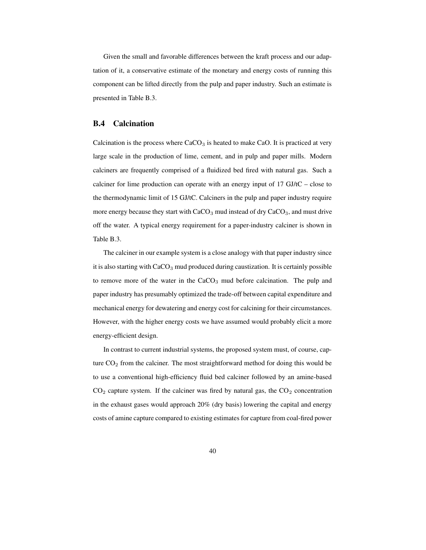Given the small and favorable differences between the kraft process and our adaptation of it, a conservative estimate of the monetary and energy costs of running this component can be lifted directly from the pulp and paper industry. Such an estimate is presented in Table B.3.

### **B.4 Calcination**

Calcination is the process where  $CaCO<sub>3</sub>$  is heated to make CaO. It is practiced at very large scale in the production of lime, cement, and in pulp and paper mills. Modern calciners are frequently comprised of a fluidized bed fired with natural gas. Such a calciner for lime production can operate with an energy input of 17 GJ/tC – close to the thermodynamic limit of 15 GJ/tC. Calciners in the pulp and paper industry require more energy because they start with  $CaCO<sub>3</sub>$  mud instead of dry  $CaCO<sub>3</sub>$ , and must drive off the water. A typical energy requirement for a paper-industry calciner is shown in Table B.3.

The calciner in our example system is a close analogy with that paper industry since it is also starting with CaCO<sub>3</sub> mud produced during caustization. It is certainly possible to remove more of the water in the  $CaCO<sub>3</sub>$  mud before calcination. The pulp and paper industry has presumably optimized the trade-off between capital expenditure and mechanical energy for dewatering and energy cost for calcining for their circumstances. However, with the higher energy costs we have assumed would probably elicit a more energy-efficient design.

In contrast to current industrial systems, the proposed system must, of course, capture  $CO<sub>2</sub>$  from the calciner. The most straightforward method for doing this would be to use a conventional high-efficiency fluid bed calciner followed by an amine-based  $CO<sub>2</sub>$  capture system. If the calciner was fired by natural gas, the  $CO<sub>2</sub>$  concentration in the exhaust gases would approach 20% (dry basis) lowering the capital and energy costs of amine capture compared to existing estimates for capture from coal-fired power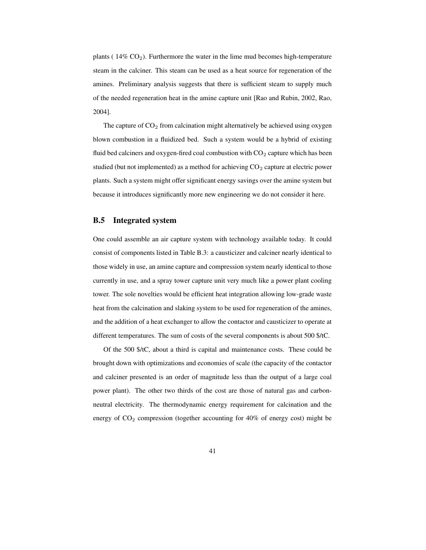plants ( $14\%$  CO<sub>2</sub>). Furthermore the water in the lime mud becomes high-temperature steam in the calciner. This steam can be used as a heat source for regeneration of the amines. Preliminary analysis suggests that there is sufficient steam to supply much of the needed regeneration heat in the amine capture unit [Rao and Rubin, 2002, Rao, 2004].

The capture of  $CO<sub>2</sub>$  from calcination might alternatively be achieved using oxygen blown combustion in a fluidized bed. Such a system would be a hybrid of existing fluid bed calciners and oxygen-fired coal combustion with  $CO<sub>2</sub>$  capture which has been studied (but not implemented) as a method for achieving  $CO<sub>2</sub>$  capture at electric power plants. Such a system might offer significant energy savings over the amine system but because it introduces significantly more new engineering we do not consider it here.

### **B.5 Integrated system**

One could assemble an air capture system with technology available today. It could consist of components listed in Table B.3: a causticizer and calciner nearly identical to those widely in use, an amine capture and compression system nearly identical to those currently in use, and a spray tower capture unit very much like a power plant cooling tower. The sole novelties would be efficient heat integration allowing low-grade waste heat from the calcination and slaking system to be used for regeneration of the amines, and the addition of a heat exchanger to allow the contactor and causticizer to operate at different temperatures. The sum of costs of the several components is about 500 \$/tC.

Of the 500 \$/tC, about a third is capital and maintenance costs. These could be brought down with optimizations and economies of scale (the capacity of the contactor and calciner presented is an order of magnitude less than the output of a large coal power plant). The other two thirds of the cost are those of natural gas and carbonneutral electricity. The thermodynamic energy requirement for calcination and the energy of  $CO<sub>2</sub>$  compression (together accounting for 40% of energy cost) might be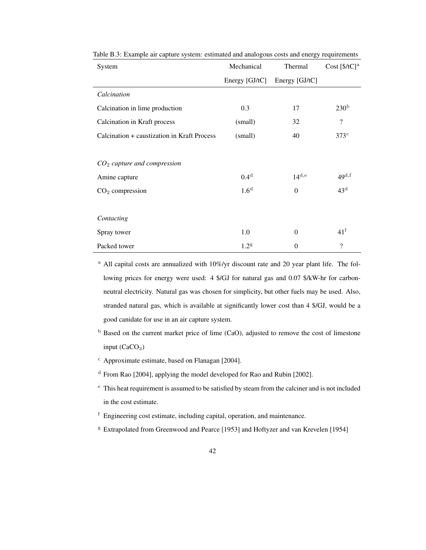| System                                      | Mechanical       | Thermal        | Cost $[$/tC]a$           |  |
|---------------------------------------------|------------------|----------------|--------------------------|--|
|                                             | Energy [GJ/tC]   | Energy [GJ/tC] |                          |  |
| Calcination                                 |                  |                |                          |  |
| Calcination in lime production              | 0.3              | 17             | 230 <sup>b</sup>         |  |
| Calcination in Kraft process                | (small)          | 32             | $\overline{\mathcal{L}}$ |  |
| Calcination + caustization in Kraft Process | (small)          | 40             | $373^{\circ}$            |  |
|                                             |                  |                |                          |  |
| $CO2$ capture and compression               |                  |                |                          |  |
| Amine capture                               | 0.4 <sup>d</sup> | $14^{d,e}$     | $49^{\mathrm{d},f}$      |  |
| $CO2$ compression                           | 1.6 <sup>d</sup> | $\Omega$       | 43 <sup>d</sup>          |  |
|                                             |                  |                |                          |  |
| Contacting                                  |                  |                |                          |  |
| Spray tower                                 | 1.0              | $\theta$       | 41 <sup>f</sup>          |  |
| Packed tower                                | 1.2 <sup>g</sup> | $\Omega$       | ?                        |  |

Table B.3: Example air capture system: estimated and analogous costs and energy requirements

<sup>a</sup> All capital costs are annualized with 10%/yr discount rate and 20 year plant life. The following prices for energy were used: 4 \$/GJ for natural gas and 0.07 \$/kW-hr for carbonneutral electricity. Natural gas was chosen for simplicity, but other fuels may be used. Also, stranded natural gas, which is available at significantly lower cost than 4 \$/GJ, would be a good canidate for use in an air capture system.

- $<sup>b</sup>$  Based on the current market price of lime (CaO), adjusted to remove the cost of limestone</sup> input  $(CaCO<sub>3</sub>)$
- $\degree$  Approximate estimate, based on Flanagan [2004].
- $d$  From Rao [2004], applying the model developed for Rao and Rubin [2002].
- <sup>e</sup> This heat requirement is assumed to be satisfied by steam from the calciner and is not included in the cost estimate.
- <sup>f</sup> Engineering cost estimate, including capital, operation, and maintenance.
- <sup>g</sup> Extrapolated from Greenwood and Pearce [1953] and Hoftyzer and van Krevelen [1954]